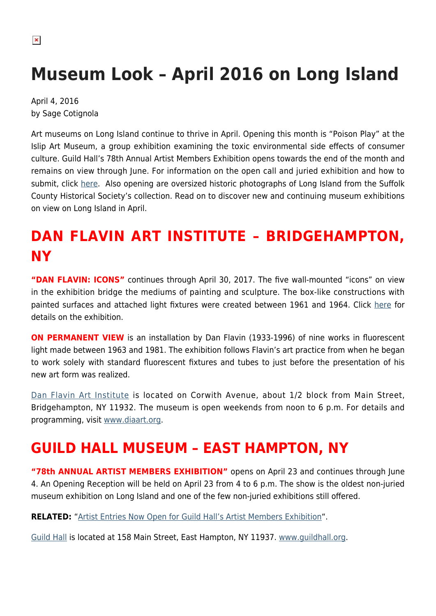$\pmb{\times}$ 

# **Museum Look – April 2016 on Long Island**

April 4, 2016 by Sage Cotignola

Art museums on Long Island continue to thrive in April. Opening this month is "Poison Play" at the Islip Art Museum, a group exhibition examining the toxic environmental side effects of consumer culture. Guild Hall's 78th Annual Artist Members Exhibition opens towards the end of the month and remains on view through June. For information on the open call and juried exhibition and how to submit, click [here.](https://hamptonsarthub.com/2016/03/10/news-artist-entries-now-open-for-guild-halls-artist-members-exhibition/) Also opening are oversized historic photographs of Long Island from the Suffolk County Historical Society's collection. Read on to discover new and continuing museum exhibitions on view on Long Island in April.

## **DAN FLAVIN ART INSTITUTE – BRIDGEHAMPTON, NY**

**"DAN FLAVIN: ICONS"** continues through April 30, 2017. The five wall-mounted "icons" on view in the exhibition bridge the mediums of painting and sculpture. The box-like constructions with painted surfaces and attached light fixtures were created between 1961 and 1964. Click [here](https://hamptonsarthub.com/exhibition/dan-flavin-icons/) for details on the exhibition.

**ON PERMANENT VIEW** is an installation by Dan Flavin (1933-1996) of nine works in fluorescent light made between 1963 and 1981. The exhibition follows Flavin's art practice from when he began to work solely with standard fluorescent fixtures and tubes to just before the presentation of his new art form was realized.

[Dan Flavin Art Institute](https://hamptonsarthub.com/museum-guide/dan-flavin-art-institute/) is located on Corwith Avenue, about 1/2 block from Main Street, Bridgehampton, NY 11932. The museum is open weekends from noon to 6 p.m. For details and programming, visit [www.diaart.org.](http://www.diaart.org)

### **GUILD HALL MUSEUM – EAST HAMPTON, NY**

**"78th ANNUAL ARTIST MEMBERS EXHIBITION"** opens on April 23 and continues through June 4. An Opening Reception will be held on April 23 from 4 to 6 p.m. The show is the oldest non-juried museum exhibition on Long Island and one of the few non-juried exhibitions still offered.

**RELATED:** "[Artist Entries Now Open for Guild Hall's Artist Members Exhibition](https://hamptonsarthub.com/2016/03/10/news-artist-entries-now-open-for-guild-halls-artist-members-exhibition/)".

[Guild Hall](https://hamptonsarthub.com/museum-guide/guild-hall/) is located at 158 Main Street, East Hampton, NY 11937. [www.guildhall.org](http://www.guildhall.org).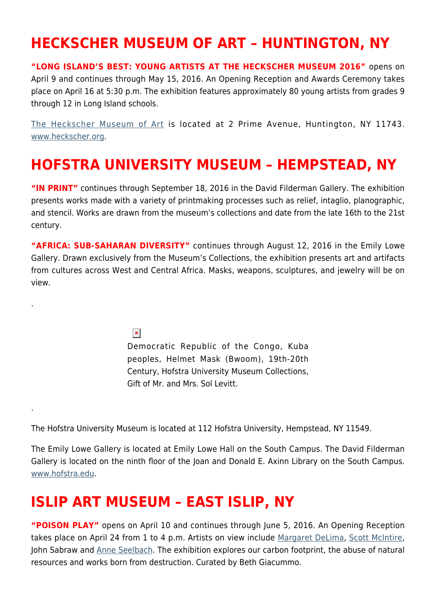#### **HECKSCHER MUSEUM OF ART – HUNTINGTON, NY**

**"LONG ISLAND'S BEST: YOUNG ARTISTS AT THE HECKSCHER MUSEUM 2016"** opens on April 9 and continues through May 15, 2016. An Opening Reception and Awards Ceremony takes place on April 16 at 5:30 p.m. The exhibition features approximately 80 young artists from grades 9 through 12 in Long Island schools.

[The Heckscher Museum of Art](https://hamptonsarthub.com/author/heckscher-museum-of-art/) is located at 2 Prime Avenue, Huntington, NY 11743. [www.heckscher.org](http://www.heckscher.org).

#### **HOFSTRA UNIVERSITY MUSEUM – HEMPSTEAD, NY**

**"IN PRINT"** continues through September 18, 2016 in the David Filderman Gallery. The exhibition presents works made with a variety of printmaking processes such as relief, intaglio, planographic, and stencil. Works are drawn from the museum's collections and date from the late 16th to the 21st century.

**"AFRICA: SUB-SAHARAN DIVERSITY"** continues through August 12, 2016 in the Emily Lowe Gallery. Drawn exclusively from the Museum's Collections, the exhibition presents art and artifacts from cultures across West and Central Africa. Masks, weapons, sculptures, and jewelry will be on view.

 $\pmb{\times}$ 

.

.

Democratic Republic of the Congo, Kuba peoples, Helmet Mask (Bwoom), 19th-20th Century, Hofstra University Museum Collections, Gift of Mr. and Mrs. Sol Levitt.

The Hofstra University Museum is located at 112 Hofstra University, Hempstead, NY 11549.

The Emily Lowe Gallery is located at Emily Lowe Hall on the South Campus. The David Filderman Gallery is located on the ninth floor of the Joan and Donald E. Axinn Library on the South Campus. [www.hofstra.edu.](http://www.hofstra.edu)

#### **ISLIP ART MUSEUM – EAST ISLIP, NY**

**"POISON PLAY"** opens on April 10 and continues through June 5, 2016. An Opening Reception takes place on April 24 from 1 to 4 p.m. Artists on view include [Margaret DeLima,](http://margaretdelima.com/home.html) [Scott McIntire,](https://hamptonsarthub.com/2015/07/21/scott-mcintire-a-close-up-view-of-the-life-around-us/) John Sabraw and [Anne Seelbach](http://anneseelbach.com). The exhibition explores our carbon footprint, the abuse of natural resources and works born from destruction. Curated by Beth Giacummo.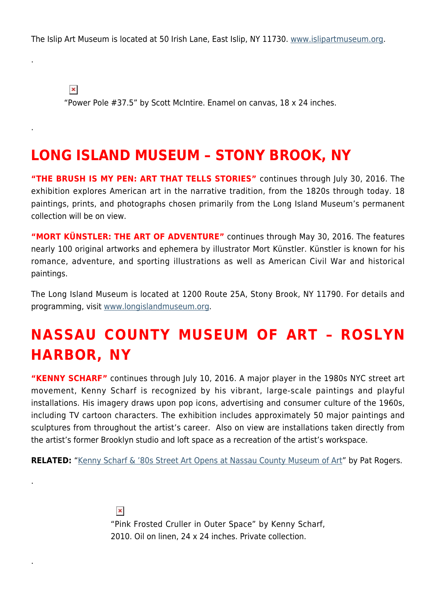The Islip Art Museum is located at 50 Irish Lane, East Islip, NY 11730. [www.islipartmuseum.org.](http://www.islipartmuseum.org)

 $\pmb{\times}$ 

.

.

.

.

"Power Pole #37.5" by Scott McIntire. Enamel on canvas, 18 x 24 inches.

#### **LONG ISLAND MUSEUM – STONY BROOK, NY**

**"THE BRUSH IS MY PEN: ART THAT TELLS STORIES"** continues through July 30, 2016. The exhibition explores American art in the narrative tradition, from the 1820s through today. 18 paintings, prints, and photographs chosen primarily from the Long Island Museum's permanent collection will be on view.

**"MORT KÜNSTLER: THE ART OF ADVENTURE"** continues through May 30, 2016. The features nearly 100 original artworks and ephemera by illustrator Mort Künstler. Künstler is known for his romance, adventure, and sporting illustrations as well as American Civil War and historical paintings.

The Long Island Museum is located at 1200 Route 25A, Stony Brook, NY 11790. For details and programming, visit [www.longislandmuseum.org.](http://www.longislandmuseum.org)

# **NASSAU COUNTY MUSEUM OF ART – ROSLYN HARBOR, NY**

**"KENNY SCHARF"** continues through July 10, 2016. A major player in the 1980s NYC street art movement, Kenny Scharf is recognized by his vibrant, large-scale paintings and playful installations. His imagery draws upon pop icons, advertising and consumer culture of the 1960s, including TV cartoon characters. The exhibition includes approximately 50 major paintings and sculptures from throughout the artist's career. Also on view are installations taken directly from the artist's former Brooklyn studio and loft space as a recreation of the artist's workspace.

**RELATED:** "[Kenny Scharf & '80s Street Art Opens at Nassau County Museum of Art"](https://hamptonsarthub.com/2016/03/17/exhibitions-museums-kenny-scharf-80s-street-art-opens-at-nassau-county-museum-of-art/) by Pat Rogers.

 $\pmb{\times}$ "Pink Frosted Cruller in Outer Space" by Kenny Scharf, 2010. Oil on linen, 24 x 24 inches. Private collection.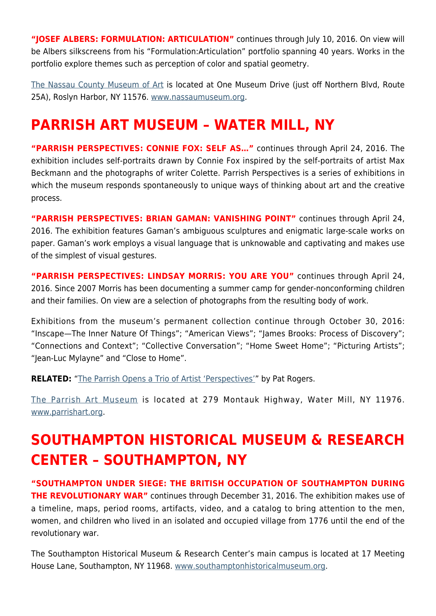"JOSEF ALBERS: FORMULATION: ARTICULATION" continues through July 10, 2016. On view will be Albers silkscreens from his "Formulation:Articulation" portfolio spanning 40 years. Works in the portfolio explore themes such as perception of color and spatial geometry.

[The Nassau County Museum of Art](https://hamptonsarthub.com/museum-guide/nassau-county-museum-of-art/) is located at One Museum Drive (just off Northern Blvd, Route 25A), Roslyn Harbor, NY 11576. [www.nassaumuseum.org](http://www.nassaumuseum.org).

## **PARRISH ART MUSEUM – WATER MILL, NY**

**"PARRISH PERSPECTIVES: CONNIE FOX: SELF AS…"** continues through April 24, 2016. The exhibition includes self-portraits drawn by Connie Fox inspired by the self-portraits of artist Max Beckmann and the photographs of writer Colette. Parrish Perspectives is a series of exhibitions in which the museum responds spontaneously to unique ways of thinking about art and the creative process.

**"PARRISH PERSPECTIVES: BRIAN GAMAN: VANISHING POINT"** continues through April 24, 2016. The exhibition features Gaman's ambiguous sculptures and enigmatic large-scale works on paper. Gaman's work employs a visual language that is unknowable and captivating and makes use of the simplest of visual gestures.

**"PARRISH PERSPECTIVES: LINDSAY MORRIS: YOU ARE YOU"** continues through April 24, 2016. Since 2007 Morris has been documenting a summer camp for gender-nonconforming children and their families. On view are a selection of photographs from the resulting body of work.

Exhibitions from the museum's permanent collection continue through October 30, 2016: "Inscape—The Inner Nature Of Things"; "American Views"; "James Brooks: Process of Discovery"; "Connections and Context"; "Collective Conversation"; "Home Sweet Home"; "Picturing Artists"; "Jean-Luc Mylayne" and "Close to Home".

**RELATED:** "[The Parrish Opens a Trio of Artist 'Perspectives'](https://hamptonsarthub.com/2016/03/10/exhibitions-parrish-opens-a-trio-of-artist-perspectives/)" by Pat Rogers.

[The Parrish Art Museum](https://hamptonsarthub.com/museum-guide/the-parrish-art-museum/) is located at 279 Montauk Highway, Water Mill, NY 11976. [www.parrishart.org](http://www.parrishart.org).

# **SOUTHAMPTON HISTORICAL MUSEUM & RESEARCH CENTER – SOUTHAMPTON, NY**

**"SOUTHAMPTON UNDER SIEGE: THE BRITISH OCCUPATION OF SOUTHAMPTON DURING THE REVOLUTIONARY WAR"** continues through December 31, 2016. The exhibition makes use of a timeline, maps, period rooms, artifacts, video, and a catalog to bring attention to the men, women, and children who lived in an isolated and occupied village from 1776 until the end of the revolutionary war.

The Southampton Historical Museum & Research Center's main campus is located at 17 Meeting House Lane, Southampton, NY 11968. [www.southamptonhistoricalmuseum.org](http://www.southamptonhistoricalmuseum.org).